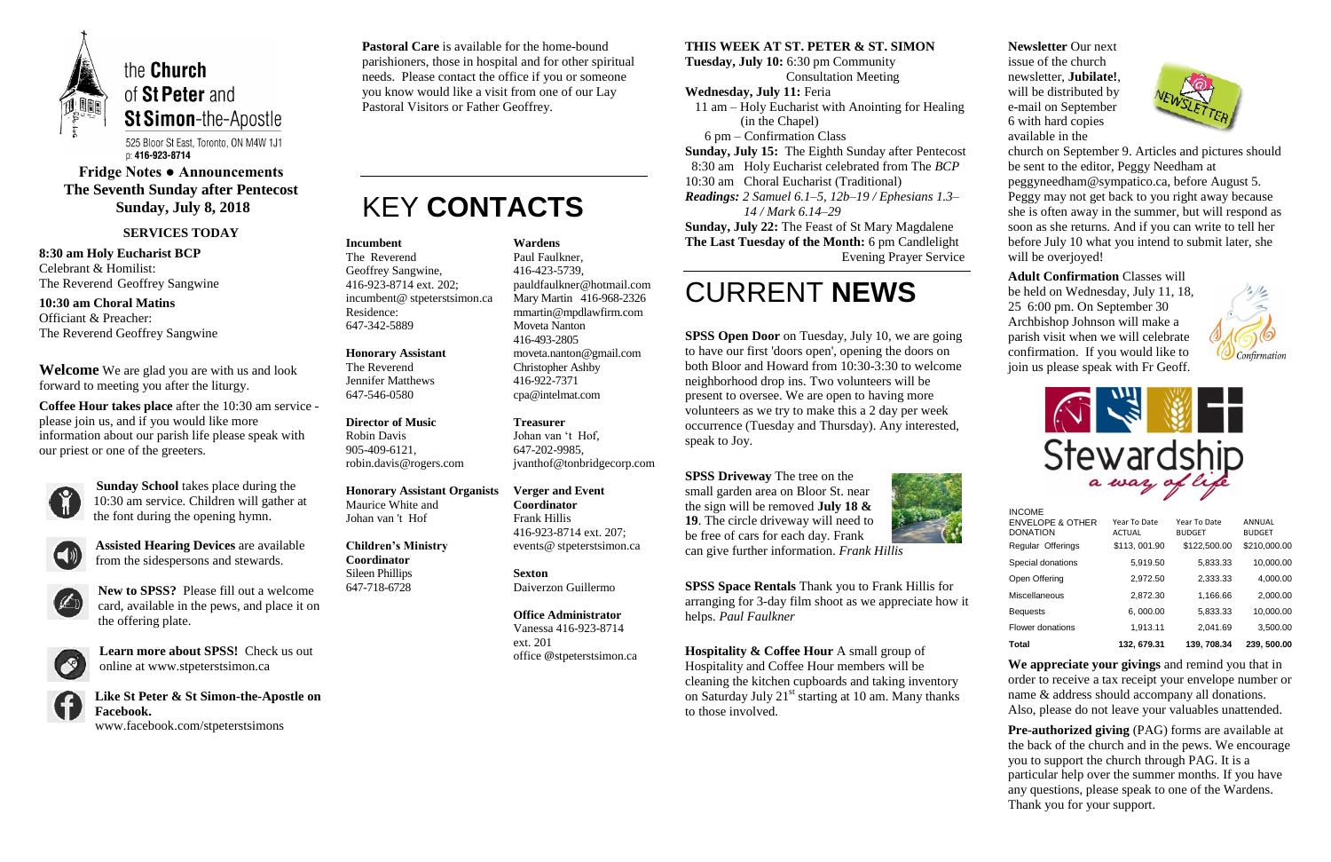

525 Bloor St East, Toronto, ON M4W 1J1 p: 416-923-8714

# **Fridge Notes ● Announcements The Seventh Sunday after Pentecost Sunday, July 8, 2018**

#### **SERVICES TODAY**

**8:30 am Holy Eucharist BCP** Celebrant & Homilist: The Reverend Geoffrey Sangwine

**10:30 am Choral Matins** Officiant & Preacher: The Reverend Geoffrey Sangwine

**Welcome** We are glad you are with us and look forward to meeting you after the liturgy.

**Coffee Hour takes place** after the 10:30 am service please join us, and if you would like more information about our parish life please speak with our priest or one of the greeters.



**Sunday School** takes place during the 10:30 am service. Children will gather at the font during the opening hymn.



**Assisted Hearing Devices** are available from the sidespersons and stewards.



**New to SPSS?** Please fill out a welcome card, available in the pews, and place it on the offering plate.



**Learn more about SPSS!** Check us out online at www.stpeterstsimon.ca

**Like St Peter & St Simon-the-Apostle on Facebook.** 

www.facebook.com/stpeterstsimons

**SPSS Open Door** on Tuesday, July 10, we are going to have our first 'doors open', opening the doors on both Bloor and Howard from 10:30-3:30 to welcome neighborhood drop ins. Two volunteers will be present to oversee. We are open to having more volunteers as we try to make this a 2 day per week occurrence (Tuesday and Thursday). Any interested, speak to Joy.

**Pastoral Care** is available for the home-bound parishioners, those in hospital and for other spiritual needs. Please contact the office if you or someone you know would like a visit from one of our Lay Pastoral Visitors or Father Geoffrey.

# KEY **CONTACTS**

#### **THIS WEEK AT ST. PETER & ST. SIMON**

**Tuesday, July 10:** 6:30 pm Community Consultation Meeting

#### **Wednesday, July 11:** Feria

**Hospitality & Coffee Hour** A small group of Hospitality and Coffee Hour members will be cleaning the kitchen cupboards and taking inventory on Saturday July  $21<sup>st</sup>$  starting at 10 am. Many thanks to those involved.

 11 am – Holy Eucharist with Anointing for Healing (in the Chapel)

> church on September 9. Articles and pictures should be sent to the editor, Peggy Needham at peggyneedham@sympatico.ca, before August 5. Peggy may not get back to you right away because she is often away in the summer, but will respond as soon as she returns. And if you can write to tell her before July 10 what you intend to submit later, she will be overjoyed!

6 pm – Confirmation Class

**Sunday, July 15:** The Eighth Sunday after Pentecost

8:30 am Holy Eucharist celebrated from The *BCP*

10:30 am Choral Eucharist (Traditional)

*Readings: 2 Samuel 6.1–5, 12b–19 / Ephesians 1.3– 14 / Mark 6.14–29*

**Sunday, July 22:** The Feast of St Mary Magdalene **The Last Tuesday of the Month:** 6 pm Candlelight Evening Prayer Service

# CURRENT **NEWS**

**SPSS Driveway** The tree on the small garden area on Bloor St. near the sign will be removed **July 18 & 19**. The circle driveway will need to be free of cars for each day. Frank



can give further information. *Frank Hillis*

**SPSS Space Rentals** Thank you to Frank Hillis for arranging for 3-day film shoot as we appreciate how it helps. *Paul Faulkner*

**Newsletter** Our next issue of the church newsletter, **Jubilate!**, will be distributed by e-mail on September 6 with hard copies available in the



**Adult Confirmation** Classes will be held on Wednesday, July 11, 18, 25 6:00 pm. On September 30 Archbishop Johnson will make a parish visit when we will celebrate confirmation. If you would like to join us please speak with Fr Geoff.



**We appreciate your givings** and remind you that in order to receive a tax receipt your envelope number or name & address should accompany all donations. Also, please do not leave your valuables unattended.

**Pre-authorized giving** (PAG) forms are available at the back of the church and in the pews. We encourage you to support the church through PAG. It is a particular help over the summer months. If you have any questions, please speak to one of the Wardens. Thank you for your support.

#### **Incumbent**

The Reverend Geoffrey Sangwine, 416-923-8714 ext. 202; incumbent@ stpeterstsimon.ca Residence: 647-342-5889

**Honorary Assistant** The Reverend Jennifer Matthews 647-546-0580

**Director of Music**  Robin Davis 905-409-6121, robin.davis@rogers.com

**Honorary Assistant Organists**  Maurice White and Johan van 't Hof

**Children's Ministry Coordinator** Sileen Phillips 647-718-6728

**Wardens**  Paul Faulkner, 416-423-5739, [pauldfaulkner@hotmail.com](mailto:pauldfaulkner@hotmail.com)  Mary Martin 416-968-2326 mmartin@mpdlawfirm.com Moveta Nanton 416-493-2805 moveta.nanton@gmail.com Christopher Ashby 416-922-7371 cpa@intelmat.com

**Treasurer**  Johan van 't Hof, 647-202-9985, jvanthof@tonbridgecorp.com

**Verger and Event Coordinator** Frank Hillis 416-923-8714 ext. 207; events@ stpeterstsimon.ca

**Sexton** Daiverzon Guillermo

**Office Administrator** Vanessa 416-923-8714 ext. 201 office @stpeterstsimon.ca



| Total                                          | 132, 679.31                   | 139, 708.34                   | 239, 500.00             |
|------------------------------------------------|-------------------------------|-------------------------------|-------------------------|
| Flower donations                               | 1,913.11                      | 2,041.69                      | 3,500.00                |
| <b>Bequests</b>                                | 6,000.00                      | 5,833.33                      | 10,000.00               |
| <b>Miscellaneous</b>                           | 2,872.30                      | 1,166.66                      | 2,000.00                |
| Open Offering                                  | 2,972.50                      | 2,333.33                      | 4,000.00                |
| Special donations                              | 5,919.50                      | 5,833.33                      | 10,000.00               |
| Regular Offerings                              | \$113,001.90                  | \$122,500.00                  | \$210,000.00            |
| <b>ENVELOPE &amp; OTHER</b><br><b>DONATION</b> | Year To Date<br><b>ACTUAL</b> | Year To Date<br><b>BUDGET</b> | ANNUAL<br><b>BUDGET</b> |
| INCOME                                         |                               |                               |                         |